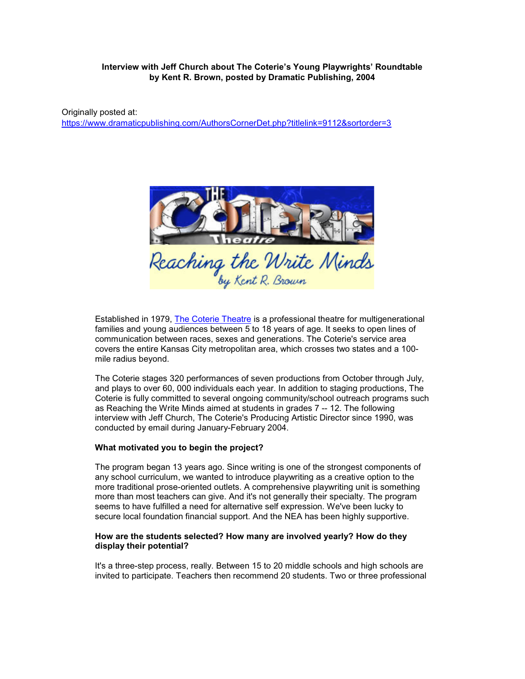# **Interview with Jeff Church about The Coterie's Young Playwrights' Roundtable by Kent R. Brown, posted by Dramatic Publishing, 2004**

Originally posted at: <https://www.dramaticpublishing.com/AuthorsCornerDet.php?titlelink=9112&sortorder=3>



Established in 1979, [The Coterie Theatre](https://web.archive.org/web/20170107102049/http:/www.thecoterie.com/) is a professional theatre for multigenerational families and young audiences between 5 to 18 years of age. It seeks to open lines of communication between races, sexes and generations. The Coterie's service area covers the entire Kansas City metropolitan area, which crosses two states and a 100 mile radius beyond.

The Coterie stages 320 performances of seven productions from October through July, and plays to over 60, 000 individuals each year. In addition to staging productions, The Coterie is fully committed to several ongoing community/school outreach programs such as Reaching the Write Minds aimed at students in grades 7 -- 12. The following interview with Jeff Church, The Coterie's Producing Artistic Director since 1990, was conducted by email during January-February 2004.

#### **What motivated you to begin the project?**

The program began 13 years ago. Since writing is one of the strongest components of any school curriculum, we wanted to introduce playwriting as a creative option to the more traditional prose-oriented outlets. A comprehensive playwriting unit is something more than most teachers can give. And it's not generally their specialty. The program seems to have fulfilled a need for alternative self expression. We've been lucky to secure local foundation financial support. And the NEA has been highly supportive.

### **How are the students selected? How many are involved yearly? How do they display their potential?**

It's a three-step process, really. Between 15 to 20 middle schools and high schools are invited to participate. Teachers then recommend 20 students. Two or three professional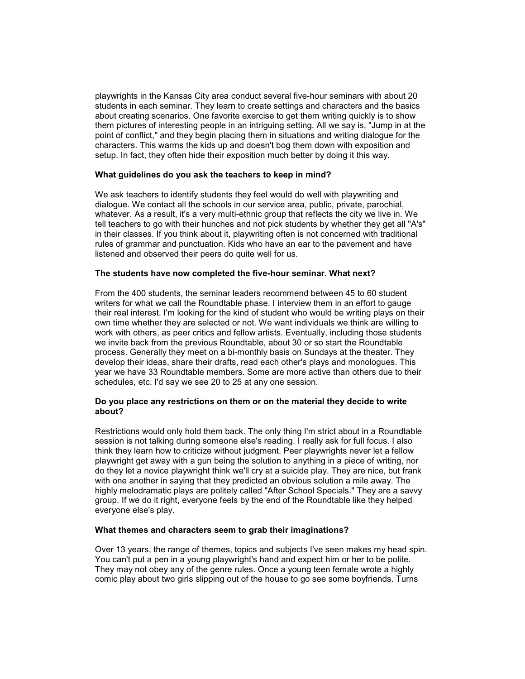playwrights in the Kansas City area conduct several five-hour seminars with about 20 students in each seminar. They learn to create settings and characters and the basics about creating scenarios. One favorite exercise to get them writing quickly is to show them pictures of interesting people in an intriguing setting. All we say is, "Jump in at the point of conflict," and they begin placing them in situations and writing dialogue for the characters. This warms the kids up and doesn't bog them down with exposition and setup. In fact, they often hide their exposition much better by doing it this way.

### **What guidelines do you ask the teachers to keep in mind?**

We ask teachers to identify students they feel would do well with playwriting and dialogue. We contact all the schools in our service area, public, private, parochial, whatever. As a result, it's a very multi-ethnic group that reflects the city we live in. We tell teachers to go with their hunches and not pick students by whether they get all "A's" in their classes. If you think about it, playwriting often is not concerned with traditional rules of grammar and punctuation. Kids who have an ear to the pavement and have listened and observed their peers do quite well for us.

#### **The students have now completed the five-hour seminar. What next?**

From the 400 students, the seminar leaders recommend between 45 to 60 student writers for what we call the Roundtable phase. I interview them in an effort to gauge their real interest. I'm looking for the kind of student who would be writing plays on their own time whether they are selected or not. We want individuals we think are willing to work with others, as peer critics and fellow artists. Eventually, including those students we invite back from the previous Roundtable, about 30 or so start the Roundtable process. Generally they meet on a bi-monthly basis on Sundays at the theater. They develop their ideas, share their drafts, read each other's plays and monologues. This year we have 33 Roundtable members. Some are more active than others due to their schedules, etc. I'd say we see 20 to 25 at any one session.

# **Do you place any restrictions on them or on the material they decide to write about?**

Restrictions would only hold them back. The only thing I'm strict about in a Roundtable session is not talking during someone else's reading. I really ask for full focus. I also think they learn how to criticize without judgment. Peer playwrights never let a fellow playwright get away with a gun being the solution to anything in a piece of writing, nor do they let a novice playwright think we'll cry at a suicide play. They are nice, but frank with one another in saying that they predicted an obvious solution a mile away. The highly melodramatic plays are politely called "After School Specials." They are a savvy group. If we do it right, everyone feels by the end of the Roundtable like they helped everyone else's play.

### **What themes and characters seem to grab their imaginations?**

Over 13 years, the range of themes, topics and subjects I've seen makes my head spin. You can't put a pen in a young playwright's hand and expect him or her to be polite. They may not obey any of the genre rules. Once a young teen female wrote a highly comic play about two girls slipping out of the house to go see some boyfriends. Turns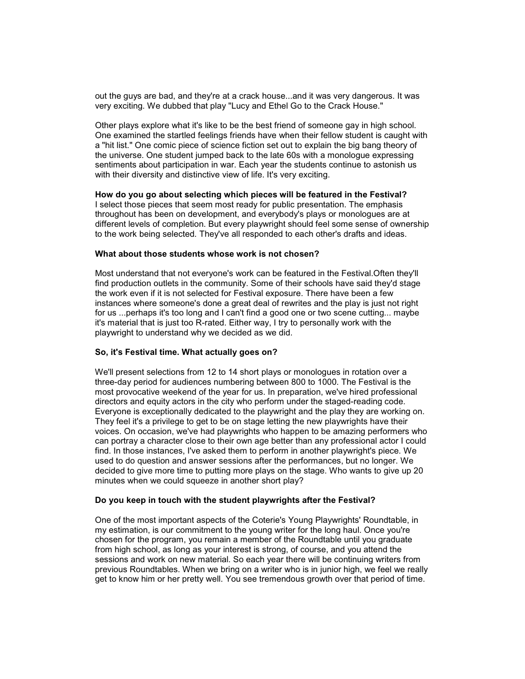out the guys are bad, and they're at a crack house...and it was very dangerous. It was very exciting. We dubbed that play "Lucy and Ethel Go to the Crack House."

Other plays explore what it's like to be the best friend of someone gay in high school. One examined the startled feelings friends have when their fellow student is caught with a "hit list." One comic piece of science fiction set out to explain the big bang theory of the universe. One student jumped back to the late 60s with a monologue expressing sentiments about participation in war. Each year the students continue to astonish us with their diversity and distinctive view of life. It's very exciting.

#### **How do you go about selecting which pieces will be featured in the Festival?**

I select those pieces that seem most ready for public presentation. The emphasis throughout has been on development, and everybody's plays or monologues are at different levels of completion. But every playwright should feel some sense of ownership to the work being selected. They've all responded to each other's drafts and ideas.

### **What about those students whose work is not chosen?**

Most understand that not everyone's work can be featured in the Festival.Often they'll find production outlets in the community. Some of their schools have said they'd stage the work even if it is not selected for Festival exposure. There have been a few instances where someone's done a great deal of rewrites and the play is just not right for us ...perhaps it's too long and I can't find a good one or two scene cutting... maybe it's material that is just too R-rated. Either way, I try to personally work with the playwright to understand why we decided as we did.

### **So, it's Festival time. What actually goes on?**

We'll present selections from 12 to 14 short plays or monologues in rotation over a three-day period for audiences numbering between 800 to 1000. The Festival is the most provocative weekend of the year for us. In preparation, we've hired professional directors and equity actors in the city who perform under the staged-reading code. Everyone is exceptionally dedicated to the playwright and the play they are working on. They feel it's a privilege to get to be on stage letting the new playwrights have their voices. On occasion, we've had playwrights who happen to be amazing performers who can portray a character close to their own age better than any professional actor I could find. In those instances, I've asked them to perform in another playwright's piece. We used to do question and answer sessions after the performances, but no longer. We decided to give more time to putting more plays on the stage. Who wants to give up 20 minutes when we could squeeze in another short play?

#### **Do you keep in touch with the student playwrights after the Festival?**

One of the most important aspects of the Coterie's Young Playwrights' Roundtable, in my estimation, is our commitment to the young writer for the long haul. Once you're chosen for the program, you remain a member of the Roundtable until you graduate from high school, as long as your interest is strong, of course, and you attend the sessions and work on new material. So each year there will be continuing writers from previous Roundtables. When we bring on a writer who is in junior high, we feel we really get to know him or her pretty well. You see tremendous growth over that period of time.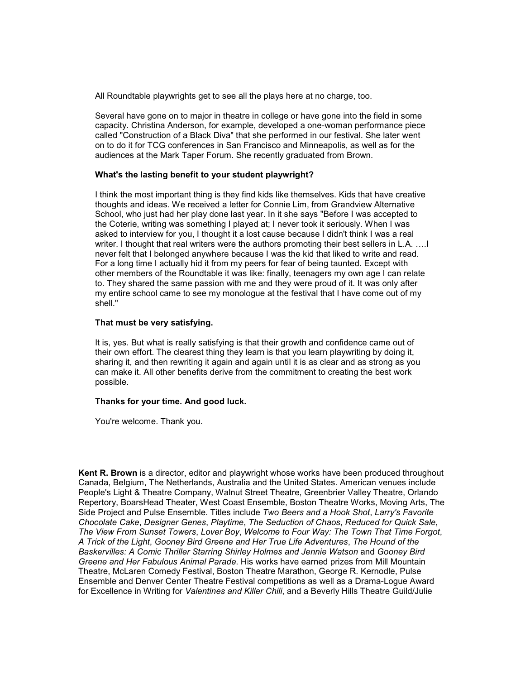All Roundtable playwrights get to see all the plays here at no charge, too.

Several have gone on to major in theatre in college or have gone into the field in some capacity. Christina Anderson, for example, developed a one-woman performance piece called "Construction of a Black Diva" that she performed in our festival. She later went on to do it for TCG conferences in San Francisco and Minneapolis, as well as for the audiences at the Mark Taper Forum. She recently graduated from Brown.

### **What's the lasting benefit to your student playwright?**

I think the most important thing is they find kids like themselves. Kids that have creative thoughts and ideas. We received a letter for Connie Lim, from Grandview Alternative School, who just had her play done last year. In it she says "Before I was accepted to the Coterie, writing was something I played at; I never took it seriously. When I was asked to interview for you, I thought it a lost cause because I didn't think I was a real writer. I thought that real writers were the authors promoting their best sellers in L.A. .... I never felt that I belonged anywhere because I was the kid that liked to write and read. For a long time I actually hid it from my peers for fear of being taunted. Except with other members of the Roundtable it was like: finally, teenagers my own age I can relate to. They shared the same passion with me and they were proud of it. It was only after my entire school came to see my monologue at the festival that I have come out of my shell."

### **That must be very satisfying.**

It is, yes. But what is really satisfying is that their growth and confidence came out of their own effort. The clearest thing they learn is that you learn playwriting by doing it, sharing it, and then rewriting it again and again until it is as clear and as strong as you can make it. All other benefits derive from the commitment to creating the best work possible.

# **Thanks for your time. And good luck.**

You're welcome. Thank you.

**Kent R. Brown** is a director, editor and playwright whose works have been produced throughout Canada, Belgium, The Netherlands, Australia and the United States. American venues include People's Light & Theatre Company, Walnut Street Theatre, Greenbrier Valley Theatre, Orlando Repertory, BoarsHead Theater, West Coast Ensemble, Boston Theatre Works, Moving Arts, The Side Project and Pulse Ensemble. Titles include *Two Beers and a Hook Shot*, *Larry's Favorite Chocolate Cake*, *Designer Genes*, *Playtime*, *The Seduction of Chaos*, *Reduced for Quick Sale*, *The View From Sunset Towers*, *Lover Boy*, *Welcome to Four Way: The Town That Time Forgot*, *A Trick of the Light*, *Gooney Bird Greene and Her True Life Adventures*, *The Hound of the Baskervilles: A Comic Thriller Starring Shirley Holmes and Jennie Watson* and *Gooney Bird Greene and Her Fabulous Animal Parade*. His works have earned prizes from Mill Mountain Theatre, McLaren Comedy Festival, Boston Theatre Marathon, George R. Kernodle, Pulse Ensemble and Denver Center Theatre Festival competitions as well as a Drama-Logue Award for Excellence in Writing for *Valentines and Killer Chili*, and a Beverly Hills Theatre Guild/Julie